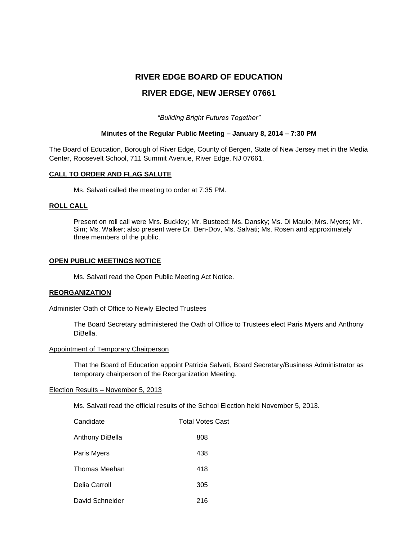# **RIVER EDGE BOARD OF EDUCATION**

# **RIVER EDGE, NEW JERSEY 07661**

# *"Building Bright Futures Together"*

# **Minutes of the Regular Public Meeting – January 8, 2014 – 7:30 PM**

The Board of Education, Borough of River Edge, County of Bergen, State of New Jersey met in the Media Center, Roosevelt School, 711 Summit Avenue, River Edge, NJ 07661.

# **CALL TO ORDER AND FLAG SALUTE**

Ms. Salvati called the meeting to order at 7:35 PM.

## **ROLL CALL**

Present on roll call were Mrs. Buckley; Mr. Busteed; Ms. Dansky; Ms. Di Maulo; Mrs. Myers; Mr. Sim; Ms. Walker; also present were Dr. Ben-Dov, Ms. Salvati; Ms. Rosen and approximately three members of the public.

## **OPEN PUBLIC MEETINGS NOTICE**

Ms. Salvati read the Open Public Meeting Act Notice.

### **REORGANIZATION**

### Administer Oath of Office to Newly Elected Trustees

The Board Secretary administered the Oath of Office to Trustees elect Paris Myers and Anthony DiBella.

### Appointment of Temporary Chairperson

That the Board of Education appoint Patricia Salvati, Board Secretary/Business Administrator as temporary chairperson of the Reorganization Meeting.

## Election Results – November 5, 2013

Ms. Salvati read the official results of the School Election held November 5, 2013.

| Candidate       | <b>Total Votes Cast</b> |
|-----------------|-------------------------|
| Anthony DiBella | 808                     |
| Paris Myers     | 438                     |
| Thomas Meehan   | 418                     |
| Delia Carroll   | 305                     |
| David Schneider | 216                     |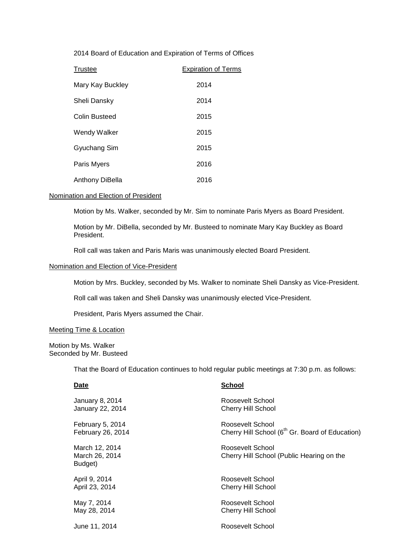2014 Board of Education and Expiration of Terms of Offices

| <b>Trustee</b>   | <b>Expiration of Terms</b> |
|------------------|----------------------------|
| Mary Kay Buckley | 2014                       |
| Sheli Dansky     | 2014                       |
| Colin Busteed    | 2015                       |
| Wendy Walker     | 2015                       |
| Gyuchang Sim     | 2015                       |
| Paris Myers      | 2016                       |
| Anthony DiBella  | 2016                       |

# Nomination and Election of President

Motion by Ms. Walker, seconded by Mr. Sim to nominate Paris Myers as Board President.

Motion by Mr. DiBella, seconded by Mr. Busteed to nominate Mary Kay Buckley as Board President.

Roll call was taken and Paris Maris was unanimously elected Board President.

## Nomination and Election of Vice-President

Motion by Mrs. Buckley, seconded by Ms. Walker to nominate Sheli Dansky as Vice-President.

Roll call was taken and Sheli Dansky was unanimously elected Vice-President.

President, Paris Myers assumed the Chair.

# Meeting Time & Location

Motion by Ms. Walker Seconded by Mr. Busteed

That the Board of Education continues to hold regular public meetings at 7:30 p.m. as follows:

| Date                                        | School                                                        |
|---------------------------------------------|---------------------------------------------------------------|
| January 8, 2014                             | Roosevelt School                                              |
| January 22, 2014                            | <b>Cherry Hill School</b>                                     |
| February 5, 2014                            | Roosevelt School                                              |
| February 26, 2014                           | Cherry Hill School (6 <sup>th</sup> Gr. Board of Education)   |
| March 12, 2014<br>March 26, 2014<br>Budget) | Roosevelt School<br>Cherry Hill School (Public Hearing on the |
| April 9, 2014                               | Roosevelt School                                              |
| April 23, 2014                              | Cherry Hill School                                            |
| May 7, 2014                                 | Roosevelt School                                              |
| May 28, 2014                                | <b>Cherry Hill School</b>                                     |
| June 11, 2014                               | Roosevelt School                                              |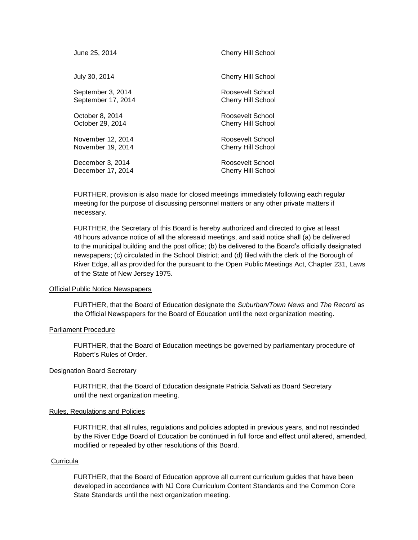| June 25, 2014      | Cherry Hill School        |
|--------------------|---------------------------|
| July 30, 2014      | <b>Cherry Hill School</b> |
| September 3, 2014  | Roosevelt School          |
| September 17, 2014 | Cherry Hill School        |
| October 8, 2014    | Roosevelt School          |
| October 29, 2014   | <b>Cherry Hill School</b> |
| November 12, 2014  | Roosevelt School          |
| November 19, 2014  | <b>Cherry Hill School</b> |
| December 3, 2014   | Roosevelt School          |
| December 17, 2014  | Cherry Hill School        |

FURTHER, provision is also made for closed meetings immediately following each regular meeting for the purpose of discussing personnel matters or any other private matters if necessary.

FURTHER, the Secretary of this Board is hereby authorized and directed to give at least 48 hours advance notice of all the aforesaid meetings, and said notice shall (a) be delivered to the municipal building and the post office; (b) be delivered to the Board's officially designated newspapers; (c) circulated in the School District; and (d) filed with the clerk of the Borough of River Edge, all as provided for the pursuant to the Open Public Meetings Act, Chapter 231, Laws of the State of New Jersey 1975.

### **Official Public Notice Newspapers**

FURTHER, that the Board of Education designate the *Suburban/Town News* and *The Record* as the Official Newspapers for the Board of Education until the next organization meeting.

# Parliament Procedure

FURTHER, that the Board of Education meetings be governed by parliamentary procedure of Robert's Rules of Order.

### Designation Board Secretary

FURTHER, that the Board of Education designate Patricia Salvati as Board Secretary until the next organization meeting.

### Rules, Regulations and Policies

FURTHER, that all rules, regulations and policies adopted in previous years, and not rescinded by the River Edge Board of Education be continued in full force and effect until altered, amended, modified or repealed by other resolutions of this Board.

## **Curricula**

FURTHER, that the Board of Education approve all current curriculum guides that have been developed in accordance with NJ Core Curriculum Content Standards and the Common Core State Standards until the next organization meeting.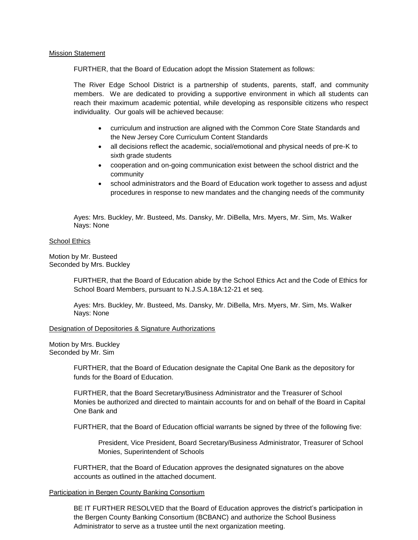## Mission Statement

FURTHER, that the Board of Education adopt the Mission Statement as follows:

The River Edge School District is a partnership of students, parents, staff, and community members. We are dedicated to providing a supportive environment in which all students can reach their maximum academic potential, while developing as responsible citizens who respect individuality. Our goals will be achieved because:

- curriculum and instruction are aligned with the Common Core State Standards and the New Jersey Core Curriculum Content Standards
- all decisions reflect the academic, social/emotional and physical needs of pre-K to sixth grade students
- cooperation and on-going communication exist between the school district and the community
- school administrators and the Board of Education work together to assess and adjust procedures in response to new mandates and the changing needs of the community

Ayes: Mrs. Buckley, Mr. Busteed, Ms. Dansky, Mr. DiBella, Mrs. Myers, Mr. Sim, Ms. Walker Nays: None

## School Ethics

Motion by Mr. Busteed Seconded by Mrs. Buckley

> FURTHER, that the Board of Education abide by the School Ethics Act and the Code of Ethics for School Board Members, pursuant to N.J.S.A.18A:12-21 et seq.

Ayes: Mrs. Buckley, Mr. Busteed, Ms. Dansky, Mr. DiBella, Mrs. Myers, Mr. Sim, Ms. Walker Nays: None

### Designation of Depositories & Signature Authorizations

Motion by Mrs. Buckley Seconded by Mr. Sim

> FURTHER, that the Board of Education designate the Capital One Bank as the depository for funds for the Board of Education.

FURTHER, that the Board Secretary/Business Administrator and the Treasurer of School Monies be authorized and directed to maintain accounts for and on behalf of the Board in Capital One Bank and

FURTHER, that the Board of Education official warrants be signed by three of the following five:

President, Vice President, Board Secretary/Business Administrator, Treasurer of School Monies, Superintendent of Schools

FURTHER, that the Board of Education approves the designated signatures on the above accounts as outlined in the attached document.

### Participation in Bergen County Banking Consortium

BE IT FURTHER RESOLVED that the Board of Education approves the district's participation in the Bergen County Banking Consortium (BCBANC) and authorize the School Business Administrator to serve as a trustee until the next organization meeting.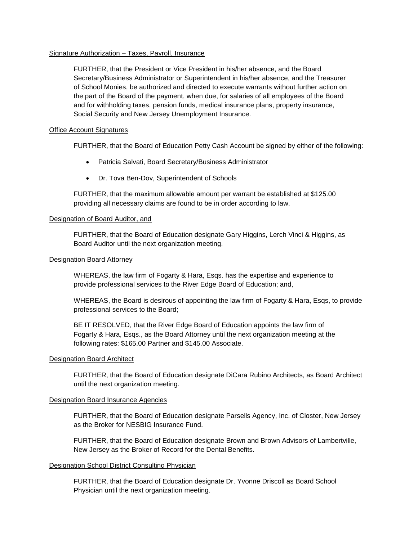# Signature Authorization – Taxes, Payroll, Insurance

FURTHER, that the President or Vice President in his/her absence, and the Board Secretary/Business Administrator or Superintendent in his/her absence, and the Treasurer of School Monies, be authorized and directed to execute warrants without further action on the part of the Board of the payment, when due, for salaries of all employees of the Board and for withholding taxes, pension funds, medical insurance plans, property insurance, Social Security and New Jersey Unemployment Insurance.

# Office Account Signatures

FURTHER, that the Board of Education Petty Cash Account be signed by either of the following:

- Patricia Salvati, Board Secretary/Business Administrator
- Dr. Tova Ben-Dov, Superintendent of Schools

FURTHER, that the maximum allowable amount per warrant be established at \$125.00 providing all necessary claims are found to be in order according to law.

# Designation of Board Auditor, and

FURTHER, that the Board of Education designate Gary Higgins, Lerch Vinci & Higgins, as Board Auditor until the next organization meeting.

# Designation Board Attorney

WHEREAS, the law firm of Fogarty & Hara, Esqs. has the expertise and experience to provide professional services to the River Edge Board of Education; and,

WHEREAS, the Board is desirous of appointing the law firm of Fogarty & Hara, Esqs, to provide professional services to the Board;

BE IT RESOLVED, that the River Edge Board of Education appoints the law firm of Fogarty & Hara, Esqs., as the Board Attorney until the next organization meeting at the following rates: \$165.00 Partner and \$145.00 Associate.

# Designation Board Architect

FURTHER, that the Board of Education designate DiCara Rubino Architects, as Board Architect until the next organization meeting.

# Designation Board Insurance Agencies

FURTHER, that the Board of Education designate Parsells Agency, Inc. of Closter, New Jersey as the Broker for NESBIG Insurance Fund.

FURTHER, that the Board of Education designate Brown and Brown Advisors of Lambertville, New Jersey as the Broker of Record for the Dental Benefits.

# Designation School District Consulting Physician

FURTHER, that the Board of Education designate Dr. Yvonne Driscoll as Board School Physician until the next organization meeting.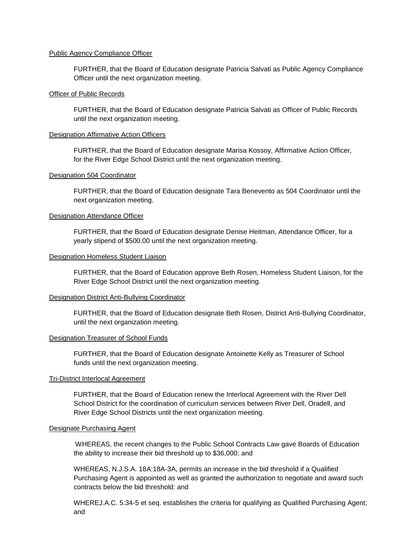## Public Agency Compliance Officer

FURTHER, that the Board of Education designate Patricia Salvati as Public Agency Compliance Officer until the next organization meeting.

### Officer of Public Records

FURTHER, that the Board of Education designate Patricia Salvati as Officer of Public Records until the next organization meeting.

## Designation Affirmative Action Officers

FURTHER, that the Board of Education designate Marisa Kossoy, Affirmative Action Officer, for the River Edge School District until the next organization meeting.

#### Designation 504 Coordinator

FURTHER, that the Board of Education designate Tara Benevento as 504 Coordinator until the next organization meeting.

#### Designation Attendance Officer

FURTHER, that the Board of Education designate Denise Heitman, Attendance Officer, for a yearly stipend of \$500.00 until the next organization meeting.

### Designation Homeless Student Liaison

FURTHER, that the Board of Education approve Beth Rosen, Homeless Student Liaison, for the River Edge School District until the next organization meeting.

### Designation District Anti-Bullying Coordinator

FURTHER, that the Board of Education designate Beth Rosen, District Anti-Bullying Coordinator, until the next organization meeting.

#### Designation Treasurer of School Funds

FURTHER, that the Board of Education designate Antoinette Kelly as Treasurer of School funds until the next organization meeting.

## Tri-District Interlocal Agreement

FURTHER, that the Board of Education renew the Interlocal Agreement with the River Dell School District for the coordination of curriculum services between River Dell, Oradell, and River Edge School Districts until the next organization meeting.

#### Designate Purchasing Agent

WHEREAS, the recent changes to the Public School Contracts Law gave Boards of Education the ability to increase their bid threshold up to \$36,000; and

WHEREAS, N.J.S.A. 18A:18A-3A, permits an increase in the bid threshold if a Qualified Purchasing Agent is appointed as well as granted the authorization to negotiate and award such contracts below the bid threshold: and

WHEREJ.A.C. 5:34-5 et seq. establishes the criteria for qualifying as Qualified Purchasing Agent; and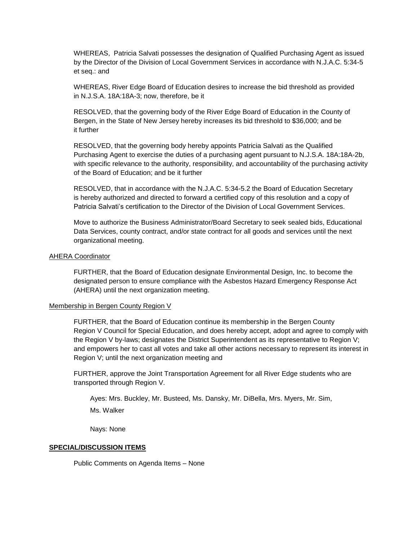WHEREAS, Patricia Salvati possesses the designation of Qualified Purchasing Agent as issued by the Director of the Division of Local Government Services in accordance with N.J.A.C. 5:34-5 et seq.: and

WHEREAS, River Edge Board of Education desires to increase the bid threshold as provided in N.J.S.A. 18A:18A-3; now, therefore, be it

RESOLVED, that the governing body of the River Edge Board of Education in the County of Bergen, in the State of New Jersey hereby increases its bid threshold to \$36,000; and be it further

RESOLVED, that the governing body hereby appoints Patricia Salvati as the Qualified Purchasing Agent to exercise the duties of a purchasing agent pursuant to N.J.S.A. 18A:18A-2b, with specific relevance to the authority, responsibility, and accountability of the purchasing activity of the Board of Education; and be it further

RESOLVED, that in accordance with the N.J.A.C. 5:34-5.2 the Board of Education Secretary is hereby authorized and directed to forward a certified copy of this resolution and a copy of Patricia Salvati's certification to the Director of the Division of Local Government Services.

Move to authorize the Business Administrator/Board Secretary to seek sealed bids, Educational Data Services, county contract, and/or state contract for all goods and services until the next organizational meeting.

## AHERA Coordinator

FURTHER, that the Board of Education designate Environmental Design, Inc. to become the designated person to ensure compliance with the Asbestos Hazard Emergency Response Act (AHERA) until the next organization meeting.

# Membership in Bergen County Region V

FURTHER, that the Board of Education continue its membership in the Bergen County Region V Council for Special Education, and does hereby accept, adopt and agree to comply with the Region V by-laws; designates the District Superintendent as its representative to Region V; and empowers her to cast all votes and take all other actions necessary to represent its interest in Region V; until the next organization meeting and

FURTHER, approve the Joint Transportation Agreement for all River Edge students who are transported through Region V.

Ayes: Mrs. Buckley, Mr. Busteed, Ms. Dansky, Mr. DiBella, Mrs. Myers, Mr. Sim, Ms. Walker

Nays: None

# **SPECIAL/DISCUSSION ITEMS**

Public Comments on Agenda Items – None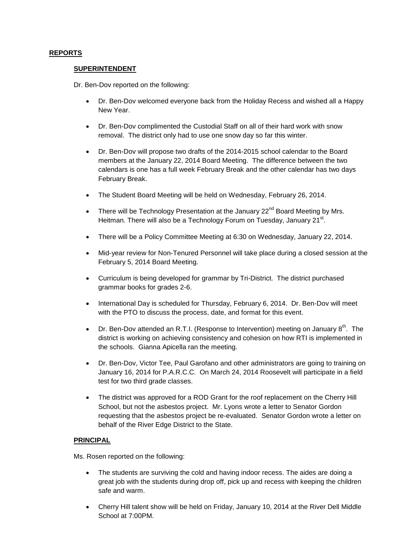# **REPORTS**

# **SUPERINTENDENT**

Dr. Ben-Dov reported on the following:

- Dr. Ben-Dov welcomed everyone back from the Holiday Recess and wished all a Happy New Year.
- Dr. Ben-Dov complimented the Custodial Staff on all of their hard work with snow removal. The district only had to use one snow day so far this winter.
- Dr. Ben-Dov will propose two drafts of the 2014-2015 school calendar to the Board members at the January 22, 2014 Board Meeting. The difference between the two calendars is one has a full week February Break and the other calendar has two days February Break.
- The Student Board Meeting will be held on Wednesday, February 26, 2014.
- There will be Technology Presentation at the January  $22<sup>nd</sup>$  Board Meeting by Mrs. Heitman. There will also be a Technology Forum on Tuesday, January 21<sup>st</sup>.
- There will be a Policy Committee Meeting at 6:30 on Wednesday, January 22, 2014.
- Mid-year review for Non-Tenured Personnel will take place during a closed session at the February 5, 2014 Board Meeting.
- Curriculum is being developed for grammar by Tri-District. The district purchased grammar books for grades 2-6.
- International Day is scheduled for Thursday, February 6, 2014. Dr. Ben-Dov will meet with the PTO to discuss the process, date, and format for this event.
- Dr. Ben-Dov attended an R.T.I. (Response to Intervention) meeting on January  $8^{th}$ . The district is working on achieving consistency and cohesion on how RTI is implemented in the schools. Gianna Apicella ran the meeting.
- Dr. Ben-Dov, Victor Tee, Paul Garofano and other administrators are going to training on January 16, 2014 for P.A.R.C.C. On March 24, 2014 Roosevelt will participate in a field test for two third grade classes.
- The district was approved for a ROD Grant for the roof replacement on the Cherry Hill School, but not the asbestos project. Mr. Lyons wrote a letter to Senator Gordon requesting that the asbestos project be re-evaluated. Senator Gordon wrote a letter on behalf of the River Edge District to the State.

# **PRINCIPAL**

Ms. Rosen reported on the following:

- The students are surviving the cold and having indoor recess. The aides are doing a great job with the students during drop off, pick up and recess with keeping the children safe and warm.
- Cherry Hill talent show will be held on Friday, January 10, 2014 at the River Dell Middle School at 7:00PM.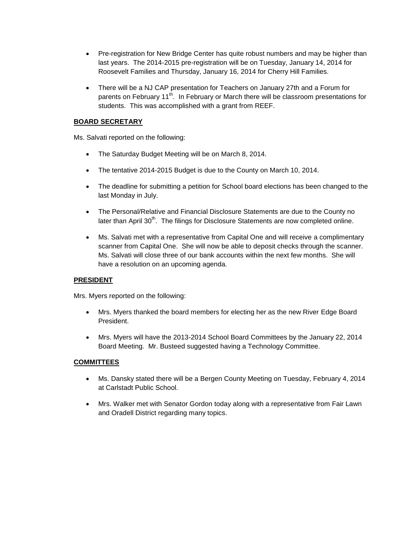- Pre-registration for New Bridge Center has quite robust numbers and may be higher than last years. The 2014-2015 pre-registration will be on Tuesday, January 14, 2014 for Roosevelt Families and Thursday, January 16, 2014 for Cherry Hill Families.
- There will be a NJ CAP presentation for Teachers on January 27th and a Forum for parents on February 11<sup>th</sup>. In February or March there will be classroom presentations for students. This was accomplished with a grant from REEF.

# **BOARD SECRETARY**

Ms. Salvati reported on the following:

- The Saturday Budget Meeting will be on March 8, 2014.
- The tentative 2014-2015 Budget is due to the County on March 10, 2014.
- The deadline for submitting a petition for School board elections has been changed to the last Monday in July.
- The Personal/Relative and Financial Disclosure Statements are due to the County no later than April  $30<sup>th</sup>$ . The filings for Disclosure Statements are now completed online.
- Ms. Salvati met with a representative from Capital One and will receive a complimentary scanner from Capital One. She will now be able to deposit checks through the scanner. Ms. Salvati will close three of our bank accounts within the next few months. She will have a resolution on an upcoming agenda.

# **PRESIDENT**

Mrs. Myers reported on the following:

- Mrs. Myers thanked the board members for electing her as the new River Edge Board President.
- Mrs. Myers will have the 2013-2014 School Board Committees by the January 22, 2014 Board Meeting. Mr. Busteed suggested having a Technology Committee.

# **COMMITTEES**

- Ms. Dansky stated there will be a Bergen County Meeting on Tuesday, February 4, 2014 at Carlstadt Public School.
- Mrs. Walker met with Senator Gordon today along with a representative from Fair Lawn and Oradell District regarding many topics.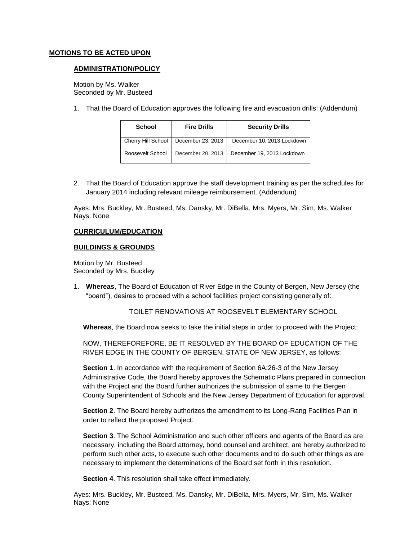# **MOTIONS TO BE ACTED UPON**

## **ADMINISTRATION/POLICY**

Motion by Ms. Walker Seconded by Mr. Busteed

1. That the Board of Education approves the following fire and evacuation drills: (Addendum)

| <b>School</b>      | <b>Fire Drills</b> | <b>Security Drills</b>     |
|--------------------|--------------------|----------------------------|
| Cherry Hill School | December 23, 2013  | December 10, 2013 Lockdown |
| Roosevelt School   | December 20, 2013  | December 19, 2013 Lockdown |

2. That the Board of Education approve the staff development training as per the schedules for January 2014 including relevant mileage reimbursement. (Addendum)

Ayes: Mrs. Buckley, Mr. Busteed, Ms. Dansky, Mr. DiBella, Mrs. Myers, Mr. Sim, Ms. Walker Nays: None

# **CURRICULUM/EDUCATION**

# **BUILDINGS & GROUNDS**

Motion by Mr. Busteed Seconded by Mrs. Buckley

1. **Whereas**, The Board of Education of River Edge in the County of Bergen, New Jersey (the "board"), desires to proceed with a school facilities project consisting generally of:

TOILET RENOVATIONS AT ROOSEVELT ELEMENTARY SCHOOL

 **Whereas**, the Board now seeks to take the initial steps in order to proceed with the Project:

NOW, THEREFOREFORE, BE IT RESOLVED BY THE BOARD OF EDUCATION OF THE RIVER EDGE IN THE COUNTY OF BERGEN, STATE OF NEW JERSEY, as follows:

**Section 1**. In accordance with the requirement of Section 6A:26-3 of the New Jersey Administrative Code, the Board hereby approves the Schematic Plans prepared in connection with the Project and the Board further authorizes the submission of same to the Bergen County Superintendent of Schools and the New Jersey Department of Education for approval.

**Section 2**. The Board hereby authorizes the amendment to its Long-Rang Facilities Plan in order to reflect the proposed Project.

**Section 3**. The School Administration and such other officers and agents of the Board as are necessary, including the Board attorney, bond counsel and architect, are hereby authorized to perform such other acts, to execute such other documents and to do such other things as are necessary to implement the determinations of the Board set forth in this resolution.

**Section 4**. This resolution shall take effect immediately.

Ayes: Mrs. Buckley, Mr. Busteed, Ms. Dansky, Mr. DiBella, Mrs. Myers, Mr. Sim, Ms. Walker Nays: None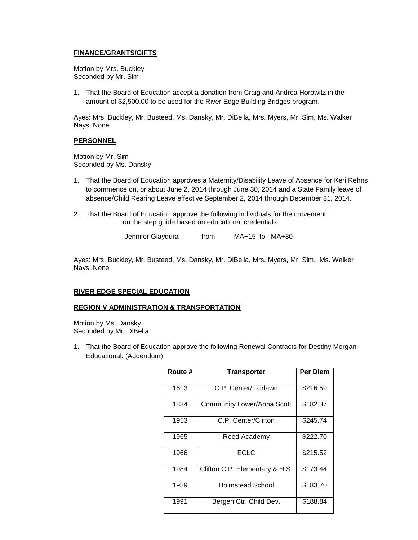# **FINANCE/GRANTS/GIFTS**

Motion by Mrs. Buckley Seconded by Mr. Sim

1. That the Board of Education accept a donation from Craig and Andrea Horowitz in the amount of \$2,500.00 to be used for the River Edge Building Bridges program.

Ayes: Mrs. Buckley, Mr. Busteed, Ms. Dansky, Mr. DiBella, Mrs. Myers, Mr. Sim, Ms. Walker Nays: None

# **PERSONNEL**

Motion by Mr. Sim Seconded by Ms. Dansky

- 1. That the Board of Education approves a Maternity/Disability Leave of Absence for Keri Rehns to commence on, or about June 2, 2014 through June 30, 2014 and a State Family leave of absence/Child Rearing Leave effective September 2, 2014 through December 31, 2014.
- 2. That the Board of Education approve the following individuals for the movement on the step guide based on educational credentials.

Jennifer Glaydura from MA+15 to MA+30

Ayes: Mrs. Buckley, Mr. Busteed, Ms. Dansky, Mr. DiBella, Mrs. Myers, Mr. Sim, Ms. Walker Nays: None

# **RIVER EDGE SPECIAL EDUCATION**

# **REGION V ADMINISTRATION & TRANSPORTATION**

Motion by Ms. Dansky Seconded by Mr. DiBella

1. That the Board of Education approve the following Renewal Contracts for Destiny Morgan Educational. (Addendum)

| Route # | <b>Transporter</b>                | <b>Per Diem</b> |
|---------|-----------------------------------|-----------------|
| 1613    | C.P. Center/Fairlawn              | \$216.59        |
| 1834    | <b>Community Lower/Anna Scott</b> | \$182.37        |
| 1953    | C.P. Center/Clifton               | \$245.74        |
| 1965    | Reed Academy                      | \$222.70        |
| 1966    | ECLC                              | \$215.52        |
| 1984    | Clifton C.P. Elementary & H.S.    | \$173.44        |
| 1989    | <b>Holmstead School</b>           | \$183.70        |
| 1991    | Bergen Ctr. Child Dev.            | \$188.84        |